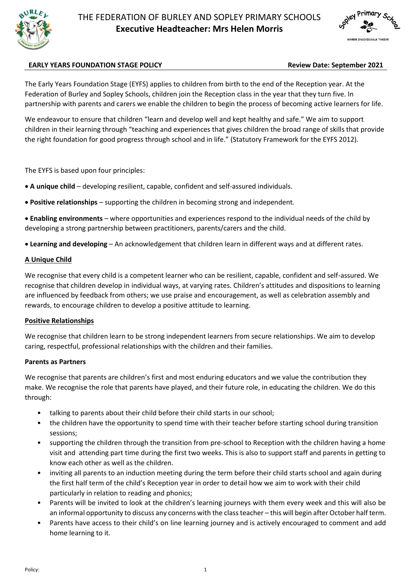



# **EARLY YEARS FOUNDATION STAGE POLICY Review Date: September 2021**

The Early Years Foundation Stage (EYFS) applies to children from birth to the end of the Reception year. At the Federation of Burley and Sopley Schools, children join the Reception class in the year that they turn five. In partnership with parents and carers we enable the children to begin the process of becoming active learners for life.

We endeavour to ensure that children "learn and develop well and kept healthy and safe." We aim to support children in their learning through "teaching and experiences that gives children the broad range of skills that provide the right foundation for good progress through school and in life." (Statutory Framework for the EYFS 2012).

The EYFS is based upon four principles:

- **A unique child** developing resilient, capable, confident and self-assured individuals.
- **Positive relationships** supporting the children in becoming strong and independent.
- **Enabling environments** where opportunities and experiences respond to the individual needs of the child by developing a strong partnership between practitioners, parents/carers and the child.
- **Learning and developing** An acknowledgement that children learn in different ways and at different rates.

## **A Unique Child**

We recognise that every child is a competent learner who can be resilient, capable, confident and self-assured. We recognise that children develop in individual ways, at varying rates. Children's attitudes and dispositions to learning are influenced by feedback from others; we use praise and encouragement, as well as celebration assembly and rewards, to encourage children to develop a positive attitude to learning.

#### **Positive Relationships**

We recognise that children learn to be strong independent learners from secure relationships. We aim to develop caring, respectful, professional relationships with the children and their families.

#### **Parents as Partners**

We recognise that parents are children's first and most enduring educators and we value the contribution they make. We recognise the role that parents have played, and their future role, in educating the children. We do this through:

- talking to parents about their child before their child starts in our school;
- the children have the opportunity to spend time with their teacher before starting school during transition sessions;
- supporting the children through the transition from pre-school to Reception with the children having a home visit and attending part time during the first two weeks. This is also to support staff and parents in getting to know each other as well as the children.
- inviting all parents to an induction meeting during the term before their child starts school and again during the first half term of the child's Reception year in order to detail how we aim to work with their child particularly in relation to reading and phonics;
- Parents will be invited to look at the children's learning journeys with them every week and this will also be an informal opportunity to discuss any concerns with the class teacher – this will begin after October half term.
- Parents have access to their child's on line learning journey and is actively encouraged to comment and add home learning to it.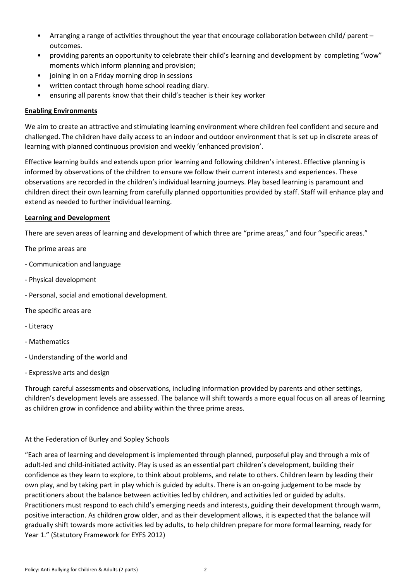- Arranging a range of activities throughout the year that encourage collaboration between child/ parent outcomes.
- providing parents an opportunity to celebrate their child's learning and development by completing "wow" moments which inform planning and provision;
- joining in on a Friday morning drop in sessions
- written contact through home school reading diary.
- ensuring all parents know that their child's teacher is their key worker

# **Enabling Environments**

We aim to create an attractive and stimulating learning environment where children feel confident and secure and challenged. The children have daily access to an indoor and outdoor environment that is set up in discrete areas of learning with planned continuous provision and weekly 'enhanced provision'.

Effective learning builds and extends upon prior learning and following children's interest. Effective planning is informed by observations of the children to ensure we follow their current interests and experiences. These observations are recorded in the children's individual learning journeys. Play based learning is paramount and children direct their own learning from carefully planned opportunities provided by staff. Staff will enhance play and extend as needed to further individual learning.

# **Learning and Development**

There are seven areas of learning and development of which three are "prime areas," and four "specific areas."

The prime areas are

- Communication and language
- Physical development
- Personal, social and emotional development.

The specific areas are

- Literacy
- Mathematics
- Understanding of the world and
- Expressive arts and design

Through careful assessments and observations, including information provided by parents and other settings, children's development levels are assessed. The balance will shift towards a more equal focus on all areas of learning as children grow in confidence and ability within the three prime areas.

# At the Federation of Burley and Sopley Schools

"Each area of learning and development is implemented through planned, purposeful play and through a mix of adult-led and child-initiated activity. Play is used as an essential part children's development, building their confidence as they learn to explore, to think about problems, and relate to others. Children learn by leading their own play, and by taking part in play which is guided by adults. There is an on-going judgement to be made by practitioners about the balance between activities led by children, and activities led or guided by adults. Practitioners must respond to each child's emerging needs and interests, guiding their development through warm, positive interaction. As children grow older, and as their development allows, it is expected that the balance will gradually shift towards more activities led by adults, to help children prepare for more formal learning, ready for Year 1." (Statutory Framework for EYFS 2012)